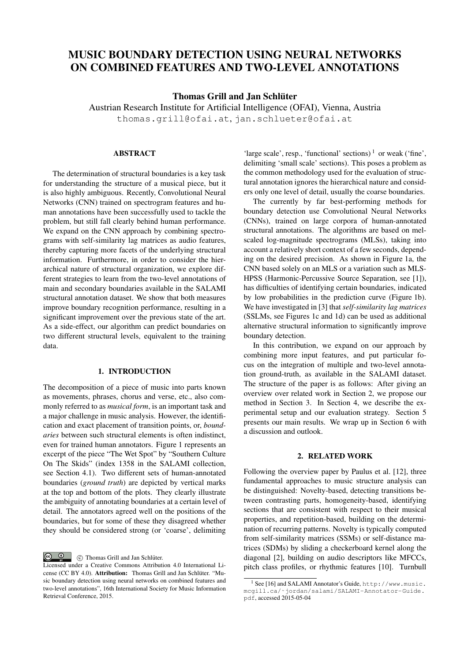# MUSIC BOUNDARY DETECTION USING NEURAL NETWORKS ON COMBINED FEATURES AND TWO-LEVEL ANNOTATIONS

Thomas Grill and Jan Schlüter

Austrian Research Institute for Artificial Intelligence (OFAI), Vienna, Austria thomas.grill@ofai.at, jan.schlueter@ofai.at

## ABSTRACT

The determination of structural boundaries is a key task for understanding the structure of a musical piece, but it is also highly ambiguous. Recently, Convolutional Neural Networks (CNN) trained on spectrogram features and human annotations have been successfully used to tackle the problem, but still fall clearly behind human performance. We expand on the CNN approach by combining spectrograms with self-similarity lag matrices as audio features, thereby capturing more facets of the underlying structural information. Furthermore, in order to consider the hierarchical nature of structural organization, we explore different strategies to learn from the two-level annotations of main and secondary boundaries available in the SALAMI structural annotation dataset. We show that both measures improve boundary recognition performance, resulting in a significant improvement over the previous state of the art. As a side-effect, our algorithm can predict boundaries on two different structural levels, equivalent to the training data.

## 1. INTRODUCTION

<span id="page-0-2"></span>The decomposition of a piece of music into parts known as movements, phrases, chorus and verse, etc., also commonly referred to as *musical form*, is an important task and a major challenge in music analysis. However, the identification and exact placement of transition points, or, *boundaries* between such structural elements is often indistinct, even for trained human annotators. Figure [1](#page-1-0) represents an excerpt of the piece "The Wet Spot" by "Southern Culture On The Skids" (index 1358 in the SALAMI collection, see Section [4.1\)](#page-2-0). Two different sets of human-annotated boundaries (*ground truth*) are depicted by vertical marks at the top and bottom of the plots. They clearly illustrate the ambiguity of annotating boundaries at a certain level of detail. The annotators agreed well on the positions of the boundaries, but for some of these they disagreed whether they should be considered strong (or 'coarse', delimiting

'large scale', resp., 'functional' sections)<sup>[1](#page-0-0)</sup> or weak ('fine', delimiting 'small scale' sections). This poses a problem as the common methodology used for the evaluation of structural annotation ignores the hierarchical nature and considers only one level of detail, usually the coarse boundaries.

The currently by far best-performing methods for boundary detection use Convolutional Neural Networks (CNNs), trained on large corpora of human-annotated structural annotations. The algorithms are based on melscaled log-magnitude spectrograms (MLSs), taking into account a relatively short context of a few seconds, depending on the desired precision. As shown in Figure [1a,](#page-1-0) the CNN based solely on an MLS or a variation such as MLS-HPSS (Harmonic-Percussive Source Separation, see [1]), has difficulties of identifying certain boundaries, indicated by low probabilities in the prediction curve (Figure [1b\)](#page-1-0). We have investigated in [3] that *self-similarity lag matrices* (SSLMs, see Figures [1c](#page-1-0) and [1d\)](#page-1-0) can be used as additional alternative structural information to significantly improve boundary detection.

In this contribution, we expand on our approach by combining more input features, and put particular focus on the integration of multiple and two-level annotation ground-truth, as available in the SALAMI dataset. The structure of the paper is as follows: After giving an overview over related work in Section [2,](#page-0-1) we propose our method in Section [3.](#page-1-1) In Section [4,](#page-2-1) we describe the experimental setup and our evaluation strategy. Section [5](#page-4-0) presents our main results. We wrap up in Section [6](#page-5-0) with a discussion and outlook.

#### 2. RELATED WORK

<span id="page-0-1"></span>Following the overview paper by Paulus et al. [12], three fundamental approaches to music structure analysis can be distinguished: Novelty-based, detecting transitions between contrasting parts, homogeneity-based, identifying sections that are consistent with respect to their musical properties, and repetition-based, building on the determination of recurring patterns. Novelty is typically computed from self-similarity matrices (SSMs) or self-distance matrices (SDMs) by sliding a checkerboard kernel along the diagonal [2], building on audio descriptors like MFCCs, pitch class profiles, or rhythmic features [10]. Turnbull

 $\begin{array}{cc} \bigcirc & \bullet \\ \hline \end{array}$   $\begin{array}{cc} \circ & \circ \end{array}$  Thomas Grill and Jan Schlüter.

Licensed under a Creative Commons Attribution 4.0 International License (CC BY 4.0). Attribution: Thomas Grill and Jan Schlüter. "Music boundary detection using neural networks on combined features and two-level annotations", 16th International Society for Music Information Retrieval Conference, 2015.

<span id="page-0-0"></span><sup>1</sup> See [16] and SALAMI Annotator's Guide, [http://www.music.](http://www.music.mcgill.ca/~jordan/salami/SALAMI-Annotator-Guide.pdf) [mcgill.ca/˜jordan/salami/SALAMI-Annotator-Guide.](http://www.music.mcgill.ca/~jordan/salami/SALAMI-Annotator-Guide.pdf) [pdf](http://www.music.mcgill.ca/~jordan/salami/SALAMI-Annotator-Guide.pdf), accessed 2015-05-04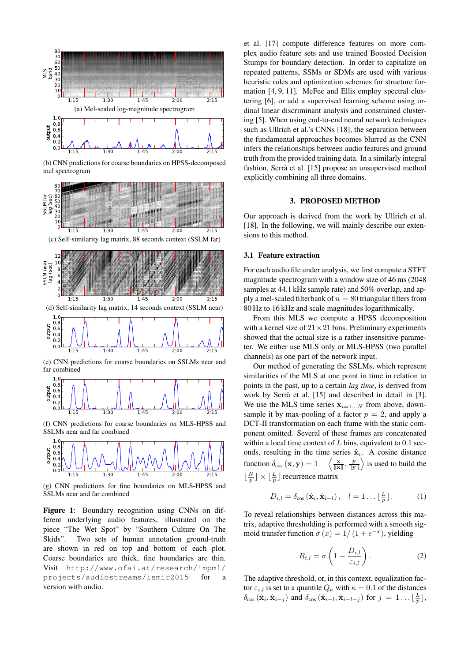<span id="page-1-0"></span>

(b) CNN predictions for coarse boundaries on HPSS-decomposed mel spectrogram



(e) CNN predictions for coarse boundaries on SSLMs near and far combined



(f) CNN predictions for coarse boundaries on MLS-HPSS and SSLMs near and far combined



(g) CNN predictions for fine boundaries on MLS-HPSS and SSLMs near and far combined

Figure 1: Boundary recognition using CNNs on different underlying audio features, illustrated on the piece "The Wet Spot" by "Southern Culture On The Skids". Two sets of human annotation ground-truth are shown in red on top and bottom of each plot. Coarse boundaries are thick, fine boundaries are thin. Visit [http://www.ofai.at/research/impml/](http://www.ofai.at/research/impml/projects/audiostreams/ismir2015) [projects/audiostreams/ismir2015](http://www.ofai.at/research/impml/projects/audiostreams/ismir2015) for a version with audio.

et al. [17] compute difference features on more complex audio feature sets and use trained Boosted Decision Stumps for boundary detection. In order to capitalize on repeated patterns, SSMs or SDMs are used with various heuristic rules and optimization schemes for structure formation [4, 9, 11]. McFee and Ellis employ spectral clustering [6], or add a supervised learning scheme using ordinal linear discriminant analysis and constrained clustering [5]. When using end-to-end neural network techniques such as Ullrich et al.'s CNNs [18], the separation between the fundamental approaches becomes blurred as the CNN infers the relationships between audio features and ground truth from the provided training data. In a similarly integral fashion, Serrà et al. [15] propose an unsupervised method explicitly combining all three domains.

#### 3. PROPOSED METHOD

<span id="page-1-1"></span>Our approach is derived from the work by Ullrich et al. [18]. In the following, we will mainly describe our extensions to this method.

### 3.1 Feature extraction

For each audio file under analysis, we first compute a STFT magnitude spectrogram with a window size of 46 ms (2048 samples at 44.1 kHz sample rate) and 50% overlap, and apply a mel-scaled filterbank of  $n = 80$  triangular filters from 80 Hz to 16 kHz and scale magnitudes logarithmically.

From this MLS we compute a HPSS decomposition with a kernel size of  $21 \times 21$  bins. Preliminary experiments showed that the actual size is a rather insensitive parameter. We either use MLS only or MLS-HPSS (two parallel channels) as one part of the network input.

Our method of generating the SSLMs, which represent similarities of the MLS at one point in time in relation to points in the past, up to a certain *lag time*, is derived from work by Serrà et al. [15] and described in detail in [3]. We use the MLS time series  $x_{i=1...N}$  from above, downsample it by max-pooling of a factor  $p = 2$ , and apply a DCT-II transformation on each frame with the static component omitted. Several of these frames are concatenated within a local time context of  $L$  bins, equivalent to 0.1 seconds, resulting in the time series  $\hat{\mathbf{x}}_i$ . A cosine distance function  $\delta_{\cos}(\mathbf{x}, \mathbf{y}) = 1 - \left\langle \frac{\mathbf{x}}{\|\mathbf{x}\|}, \frac{\mathbf{y}}{\|\mathbf{y}\|} \right\rangle$  is used to build the  $\lfloor \frac{N}{p} \rfloor \times \lfloor \frac{L}{p} \rfloor$  recurrence matrix

$$
D_{i,l} = \delta_{\cos}(\hat{\mathbf{x}}_i, \hat{\mathbf{x}}_{i-l}), \quad l = 1 \dots \lfloor \frac{L}{p} \rfloor.
$$
 (1)

To reveal relationships between distances across this matrix, adaptive thresholding is performed with a smooth sigmoid transfer function  $\sigma(x) = 1/(1 + e^{-x})$ , yielding

$$
R_{i,l} = \sigma \left( 1 - \frac{D_{i,l}}{\varepsilon_{i,l}} \right). \tag{2}
$$

The adaptive threshold, or, in this context, equalization factor  $\varepsilon_{i,l}$  is set to a quantile  $Q_{\kappa}$  with  $\kappa = 0.1$  of the distances  $\delta_{\cos}(\hat{\mathbf{x}}_i, \hat{\mathbf{x}}_{i-j})$  and  $\delta_{\cos}(\hat{\mathbf{x}}_{i-l}, \hat{\mathbf{x}}_{i-l-j})$  for  $j = 1 \dots \lfloor \frac{L}{p} \rfloor$ ,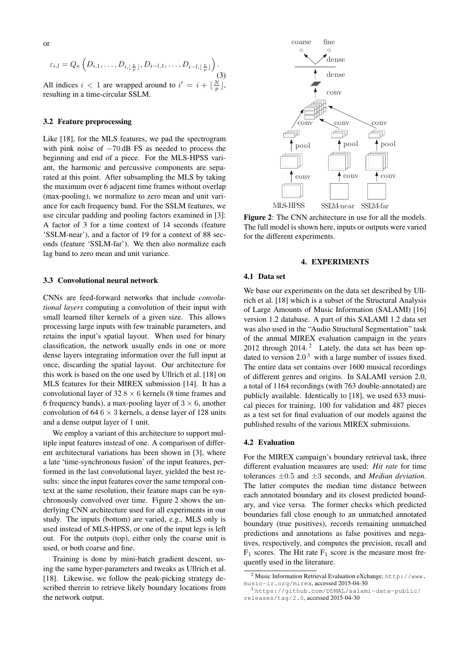$$
\varepsilon_{i,l} = Q_{\kappa} \left( D_{i,1}, \ldots, D_{i, \lfloor \frac{L}{p} \rfloor}, D_{i-l,1}, \ldots, D_{i-l, \lfloor \frac{L}{p} \rfloor} \right). \tag{3}
$$

All indices  $i < 1$  are wrapped around to  $i' = i + \lfloor \frac{N}{p} \rfloor$ , resulting in a time-circular SSLM.

#### 3.2 Feature preprocessing

Like [18], for the MLS features, we pad the spectrogram with pink noise of  $-70$  dB FS as needed to process the beginning and end of a piece. For the MLS-HPSS variant, the harmonic and percussive components are separated at this point. After subsampling the MLS by taking the maximum over 6 adjacent time frames without overlap (max-pooling), we normalize to zero mean and unit variance for each frequency band. For the SSLM features, we use circular padding and pooling factors examined in [3]: A factor of 3 for a time context of 14 seconds (feature 'SSLM-near'), and a factor of 19 for a context of 88 seconds (feature 'SSLM-far'). We then also normalize each lag band to zero mean and unit variance.

### 3.3 Convolutional neural network

CNNs are feed-forward networks that include *convolutional layers* computing a convolution of their input with small learned filter kernels of a given size. This allows processing large inputs with few trainable parameters, and retains the input's spatial layout. When used for binary classification, the network usually ends in one or more dense layers integrating information over the full input at once, discarding the spatial layout. Our architecture for this work is based on the one used by Ullrich et al. [18] on MLS features for their MIREX submission [14]. It has a convolutional layer of  $32.8 \times 6$  kernels (8 time frames and 6 frequency bands), a max-pooling layer of  $3 \times 6$ , another convolution of 64  $6 \times 3$  kernels, a dense layer of 128 units and a dense output layer of 1 unit.

We employ a variant of this architecture to support multiple input features instead of one. A comparison of different architectural variations has been shown in [3], where a late 'time-synchronous fusion' of the input features, performed in the last convolutional layer, yielded the best results: since the input features cover the same temporal context at the same resolution, their feature maps can be synchronously convolved over time. Figure [2](#page-2-2) shows the underlying CNN architecture used for all experiments in our study. The inputs (bottom) are varied, e.g., MLS only is used instead of MLS-HPSS, or one of the input legs is left out. For the outputs (top), either only the coarse unit is used, or both coarse and fine.

Training is done by mini-batch gradient descent, using the same hyper-parameters and tweaks as Ullrich et al. [18]. Likewise, we follow the peak-picking strategy described therein to retrieve likely boundary locations from the network output.

<span id="page-2-2"></span>

Figure 2: The CNN architecture in use for all the models. The full model is shown here, inputs or outputs were varied for the different experiments.

### 4. EXPERIMENTS

#### <span id="page-2-1"></span><span id="page-2-0"></span>4.1 Data set

We base our experiments on the data set described by Ullrich et al. [18] which is a subset of the Structural Analysis of Large Amounts of Music Information (SALAMI) [16] version 1.2 database. A part of this SALAMI 1.2 data set was also used in the "Audio Structural Segmentation" task of the annual MIREX evaluation campaign in the years [2](#page-2-3)012 through  $2014$ .<sup>2</sup> Lately, the data set has been updated to version  $2.0<sup>3</sup>$  $2.0<sup>3</sup>$  $2.0<sup>3</sup>$  with a large number of issues fixed. The entire data set contains over 1600 musical recordings of different genres and origins. In SALAMI version 2.0, a total of 1164 recordings (with 763 double-annotated) are publicly available. Identically to [18], we used 633 musical pieces for training, 100 for validation and 487 pieces as a test set for final evaluation of our models against the published results of the various MIREX submissions.

#### 4.2 Evaluation

For the MIREX campaign's boundary retrieval task, three different evaluation measures are used: *Hit rate* for time tolerances ±0.5 and ±3 seconds, and *Median deviation*. The latter computes the median time distance between each annotated boundary and its closest predicted boundary, and vice versa. The former checks which predicted boundaries fall close enough to an unmatched annotated boundary (true positives), records remaining unmatched predictions and annotations as false positives and negatives, respectively, and computes the precision, recall and  $F_1$  scores. The Hit rate  $F_1$  score is the measure most frequently used in the literature.

<span id="page-2-3"></span><sup>2</sup> Music Information Retrieval Evaluation eXchange, [http://www.](http://www.music-ir.org/mirex) [music-ir.org/mirex](http://www.music-ir.org/mirex), accessed 2015-04-30

<span id="page-2-4"></span><sup>3</sup> [https://github.com/DDMAL/salami-data-public/](https://github.com/DDMAL/salami-data-public/releases/tag/2.0) [releases/tag/2.0](https://github.com/DDMAL/salami-data-public/releases/tag/2.0), accessed 2015-04-30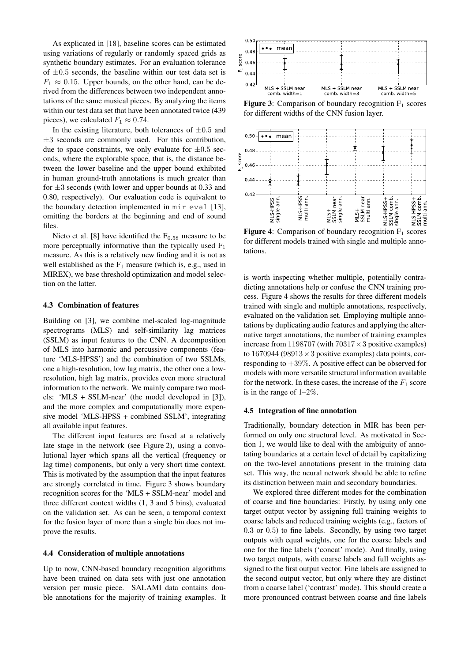As explicated in [18], baseline scores can be estimated using variations of regularly or randomly spaced grids as synthetic boundary estimates. For an evaluation tolerance of  $\pm 0.5$  seconds, the baseline within our test data set is  $F_1 \approx 0.15$ . Upper bounds, on the other hand, can be derived from the differences between two independent annotations of the same musical pieces. By analyzing the items within our test data set that have been annotated twice (439 pieces), we calculated  $F_1 \approx 0.74$ .

In the existing literature, both tolerances of  $\pm 0.5$  and  $\pm 3$  seconds are commonly used. For this contribution, due to space constraints, we only evaluate for  $\pm 0.5$  seconds, where the explorable space, that is, the distance between the lower baseline and the upper bound exhibited in human ground-truth annotations is much greater than for  $\pm 3$  seconds (with lower and upper bounds at 0.33 and 0.80, respectively). Our evaluation code is equivalent to the boundary detection implemented in  $\min$ -eval [13], omitting the borders at the beginning and end of sound files.

Nieto et al. [8] have identified the  $F_{0.58}$  measure to be more perceptually informative than the typically used  $F_1$ measure. As this is a relatively new finding and it is not as well established as the  $F_1$  measure (which is, e.g., used in MIREX), we base threshold optimization and model selection on the latter.

## 4.3 Combination of features

Building on [3], we combine mel-scaled log-magnitude spectrograms (MLS) and self-similarity lag matrices (SSLM) as input features to the CNN. A decomposition of MLS into harmonic and percussive components (feature 'MLS-HPSS') and the combination of two SSLMs, one a high-resolution, low lag matrix, the other one a lowresolution, high lag matrix, provides even more structural information to the network. We mainly compare two models: 'MLS + SSLM-near' (the model developed in [3]), and the more complex and computationally more expensive model 'MLS-HPSS + combined SSLM', integrating all available input features.

The different input features are fused at a relatively late stage in the network (see Figure [2\)](#page-2-2), using a convolutional layer which spans all the vertical (frequency or lag time) components, but only a very short time context. This is motivated by the assumption that the input features are strongly correlated in time. Figure [3](#page-3-0) shows boundary recognition scores for the 'MLS + SSLM-near' model and three different context widths (1, 3 and 5 bins), evaluated on the validation set. As can be seen, a temporal context for the fusion layer of more than a single bin does not improve the results.

#### 4.4 Consideration of multiple annotations

Up to now, CNN-based boundary recognition algorithms have been trained on data sets with just one annotation version per music piece. SALAMI data contains double annotations for the majority of training examples. It

<span id="page-3-0"></span>

**Figure 3:** Comparison of boundary recognition  $F_1$  scores for different widths of the CNN fusion layer.

<span id="page-3-1"></span>

**Figure 4:** Comparison of boundary recognition  $F_1$  scores for different models trained with single and multiple annotations.

is worth inspecting whether multiple, potentially contradicting annotations help or confuse the CNN training process. Figure [4](#page-3-1) shows the results for three different models trained with single and multiple annotations, respectively, evaluated on the validation set. Employing multiple annotations by duplicating audio features and applying the alternative target annotations, the number of training examples increase from 1198707 (with  $70317 \times 3$  positive examples) to 1670944 (98913  $\times$  3 positive examples) data points, corresponding to  $+39\%$ . A positive effect can be observed for models with more versatile structural information available for the network. In these cases, the increase of the  $F_1$  score is in the range of 1–2%.

#### 4.5 Integration of fine annotation

Traditionally, boundary detection in MIR has been performed on only one structural level. As motivated in Section [1,](#page-0-2) we would like to deal with the ambiguity of annotating boundaries at a certain level of detail by capitalizing on the two-level annotations present in the training data set. This way, the neural network should be able to refine its distinction between main and secondary boundaries.

We explored three different modes for the combination of coarse and fine boundaries: Firstly, by using only one target output vector by assigning full training weights to coarse labels and reduced training weights (e.g., factors of 0.3 or 0.5) to fine labels. Secondly, by using two target outputs with equal weights, one for the coarse labels and one for the fine labels ('concat' mode). And finally, using two target outputs, with coarse labels and full weights assigned to the first output vector. Fine labels are assigned to the second output vector, but only where they are distinct from a coarse label ('contrast' mode). This should create a more pronounced contrast between coarse and fine labels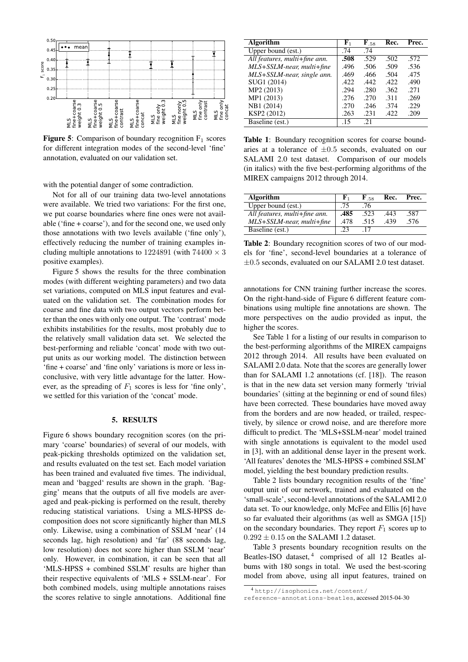<span id="page-4-1"></span>

**Figure 5:** Comparison of boundary recognition  $F_1$  scores for different integration modes of the second-level 'fine' annotation, evaluated on our validation set.

with the potential danger of some contradiction.

Not for all of our training data two-level annotations were available. We tried two variations: For the first one, we put coarse boundaries where fine ones were not available ('fine + coarse'), and for the second one, we used only those annotations with two levels available ('fine only'), effectively reducing the number of training examples including multiple annotations to 1224891 (with  $74400 \times 3$ positive examples).

Figure [5](#page-4-1) shows the results for the three combination modes (with different weighting parameters) and two data set variations, computed on MLS input features and evaluated on the validation set. The combination modes for coarse and fine data with two output vectors perform better than the ones with only one output. The 'contrast' mode exhibits instabilities for the results, most probably due to the relatively small validation data set. We selected the best-performing and reliable 'concat' mode with two output units as our working model. The distinction between 'fine + coarse' and 'fine only' variations is more or less inconclusive, with very little advantage for the latter. However, as the spreading of  $F_1$  scores is less for 'fine only', we settled for this variation of the 'concat' mode.

#### 5. RESULTS

<span id="page-4-0"></span>Figure [6](#page-5-1) shows boundary recognition scores (on the primary 'coarse' boundaries) of several of our models, with peak-picking thresholds optimized on the validation set, and results evaluated on the test set. Each model variation has been trained and evaluated five times. The individual, mean and 'bagged' results are shown in the graph. 'Bagging' means that the outputs of all five models are averaged and peak-picking is performed on the result, thereby reducing statistical variations. Using a MLS-HPSS decomposition does not score significantly higher than MLS only. Likewise, using a combination of SSLM 'near' (14 seconds lag, high resolution) and 'far' (88 seconds lag, low resolution) does not score higher than SSLM 'near' only. However, in combination, it can be seen that all 'MLS-HPSS + combined SSLM' results are higher than their respective equivalents of 'MLS + SSLM-near'. For both combined models, using multiple annotations raises the scores relative to single annotations. Additional fine

<span id="page-4-2"></span>

| <b>Algorithm</b>              | ${\bf F}_1$ | $\mathbf{F}_{.58}$ | Rec. | Prec. |
|-------------------------------|-------------|--------------------|------|-------|
| Upper bound (est.)            | .74         | .74                |      |       |
| All features, multi+fine ann. | .508        | .529               | .502 | .572  |
| $MLS+SSLM-near$ , multi+fine  | .496        | .506               | .509 | .536  |
| MLS+SSLM-near, single ann.    | .469        | .466               | .504 | .475  |
| SUG1 (2014)                   | .422        | .442               | .422 | .490  |
| MP2 (2013)                    | .294        | .280               | .362 | .271  |
| MP1 (2013)                    | .276        | .270               | .311 | .269  |
| NB1 (2014)                    | .270        | .246               | .374 | .229  |
| KSP2 (2012)                   | .263        | .231               | .422 | .209  |
| Baseline (est.)               | .15         | .21                |      |       |

Table 1: Boundary recognition scores for coarse boundaries at a tolerance of  $\pm 0.5$  seconds, evaluated on our SALAMI 2.0 test dataset. Comparison of our models (in italics) with the five best-performing algorithms of the MIREX campaigns 2012 through 2014.

<span id="page-4-3"></span>

| Algorithm                     | ${\bf F}_1$ | $\mathbf{F}_{.58}$ | Rec. | Prec. |
|-------------------------------|-------------|--------------------|------|-------|
| Upper bound (est.)            | .75         | .76                |      |       |
| All features, multi+fine ann. | .485        | .523               | .443 | .587  |
| MLS+SSLM-near, multi+fine     | .478        | .515               | .439 | .576  |
| Baseline (est.)               |             | . 17               |      |       |

Table 2: Boundary recognition scores of two of our models for 'fine', second-level boundaries at a tolerance of ±0.5 seconds, evaluated on our SALAMI 2.0 test dataset.

annotations for CNN training further increase the scores. On the right-hand-side of Figure [6](#page-5-1) different feature combinations using multiple fine annotations are shown. The more perspectives on the audio provided as input, the higher the scores.

See Table [1](#page-4-2) for a listing of our results in comparison to the best-performing algorithms of the MIREX campaigns 2012 through 2014. All results have been evaluated on SALAMI 2.0 data. Note that the scores are generally lower than for SALAMI 1.2 annotations (cf. [18]). The reason is that in the new data set version many formerly 'trivial boundaries' (sitting at the beginning or end of sound files) have been corrected. These boundaries have moved away from the borders and are now headed, or trailed, respectively, by silence or crowd noise, and are therefore more difficult to predict. The 'MLS+SSLM-near' model trained with single annotations is equivalent to the model used in [3], with an additional dense layer in the present work. 'All features' denotes the 'MLS-HPSS + combined SSLM' model, yielding the best boundary prediction results.

Table [2](#page-4-3) lists boundary recognition results of the 'fine' output unit of our network, trained and evaluated on the 'small-scale', second-level annotations of the SALAMI 2.0 data set. To our knowledge, only McFee and Ellis [6] have so far evaluated their algorithms (as well as SMGA [15]) on the secondary boundaries. They report  $F_1$  scores up to  $0.292 \pm 0.15$  on the SALAMI 1.2 dataset.

Table [3](#page-5-2) presents boundary recognition results on the Beatles-ISO dataset,<sup>[4](#page-4-4)</sup> comprised of all 12 Beatles albums with 180 songs in total. We used the best-scoring model from above, using all input features, trained on

<span id="page-4-4"></span><sup>4</sup> [http://isophonics.net/content/](http://isophonics.net/content/reference-annotations-beatles)

[reference-annotations-beatles](http://isophonics.net/content/reference-annotations-beatles), accessed 2015-04-30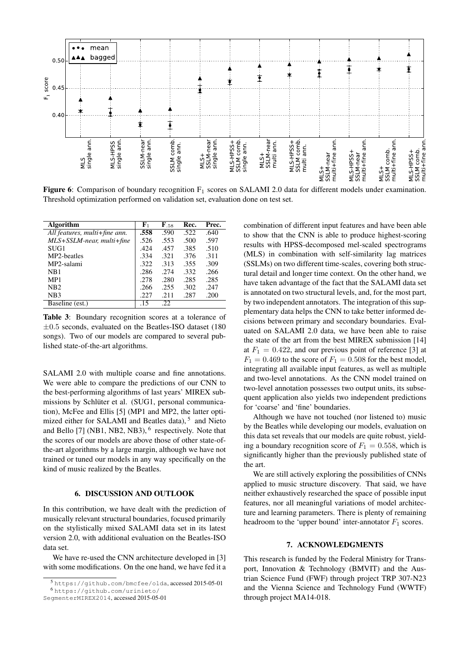<span id="page-5-1"></span>

**Figure 6:** Comparison of boundary recognition  $F_1$  scores on SALAMI 2.0 data for different models under examination. Threshold optimization performed on validation set, evaluation done on test set.

<span id="page-5-2"></span>

| Algorithm                     | ${\bf F}_1$ | $\mathbf{F}_{.58}$ | Rec. | Prec. |
|-------------------------------|-------------|--------------------|------|-------|
| All features, multi+fine ann. | .558        | .590               | .522 | .640  |
| $MLS+SSLM-near$ , multi+fine  | .526        | .553               | .500 | .597  |
| SUG1                          | .424        | .457               | .385 | .510  |
| MP2-beatles                   | .334        | .321               | .376 | .311  |
| MP2-salami                    | .322        | .313               | .355 | .309  |
| NB1                           | .286        | .274               | .332 | .266  |
| MP1                           | .278        | .280               | .285 | .285  |
| N <sub>B</sub> 2              | .266        | .255               | .302 | .247  |
| NB3                           | .227        | .211               | .287 | .200  |
| Baseline (est.)               | .15         | .22                |      |       |

Table 3: Boundary recognition scores at a tolerance of  $\pm 0.5$  seconds, evaluated on the Beatles-ISO dataset (180 songs). Two of our models are compared to several published state-of-the-art algorithms.

SALAMI 2.0 with multiple coarse and fine annotations. We were able to compare the predictions of our CNN to the best-performing algorithms of last years' MIREX submissions by Schlüter et al. (SUG1, personal communication), McFee and Ellis [5] (MP1 and MP2, the latter opti-mized either for SALAMI and Beatles data),<sup>[5](#page-5-3)</sup> and Nieto and Bello [7] (NB1, NB2, NB3), <sup>[6](#page-5-4)</sup> respectively. Note that the scores of our models are above those of other state-ofthe-art algorithms by a large margin, although we have not trained or tuned our models in any way specifically on the kind of music realized by the Beatles.

## 6. DISCUSSION AND OUTLOOK

<span id="page-5-0"></span>In this contribution, we have dealt with the prediction of musically relevant structural boundaries, focused primarily on the stylistically mixed SALAMI data set in its latest version 2.0, with additional evaluation on the Beatles-ISO data set.

We have re-used the CNN architecture developed in [3] with some modifications. On the one hand, we have fed it a

<sup>6</sup> [https://github.com/urinieto/](https://github.com/urinieto/SegmenterMIREX2014)

combination of different input features and have been able to show that the CNN is able to produce highest-scoring results with HPSS-decomposed mel-scaled spectrograms (MLS) in combination with self-similarity lag matrices (SSLMs) on two different time-scales, covering both structural detail and longer time context. On the other hand, we have taken advantage of the fact that the SALAMI data set is annotated on two structural levels, and, for the most part, by two independent annotators. The integration of this supplementary data helps the CNN to take better informed decisions between primary and secondary boundaries. Evaluated on SALAMI 2.0 data, we have been able to raise the state of the art from the best MIREX submission [14] at  $F_1 = 0.422$ , and our previous point of reference [3] at  $F_1 = 0.469$  to the score of  $F_1 = 0.508$  for the best model, integrating all available input features, as well as multiple and two-level annotations. As the CNN model trained on two-level annotation possesses two output units, its subsequent application also yields two independent predictions for 'coarse' and 'fine' boundaries.

Although we have not touched (nor listened to) music by the Beatles while developing our models, evaluation on this data set reveals that our models are quite robust, yielding a boundary recognition score of  $F_1 = 0.558$ , which is significantly higher than the previously published state of the art.

We are still actively exploring the possibilities of CNNs applied to music structure discovery. That said, we have neither exhaustively researched the space of possible input features, nor all meaningful variations of model architecture and learning parameters. There is plenty of remaining headroom to the 'upper bound' inter-annotator  $F_1$  scores.

#### 7. ACKNOWLEDGMENTS

This research is funded by the Federal Ministry for Transport, Innovation & Technology (BMVIT) and the Austrian Science Fund (FWF) through project TRP 307-N23 and the Vienna Science and Technology Fund (WWTF) through project MA14-018.

<span id="page-5-4"></span><span id="page-5-3"></span><sup>5</sup> <https://github.com/bmcfee/olda>, accessed 2015-05-01

[SegmenterMIREX2014](https://github.com/urinieto/SegmenterMIREX2014), accessed 2015-05-01